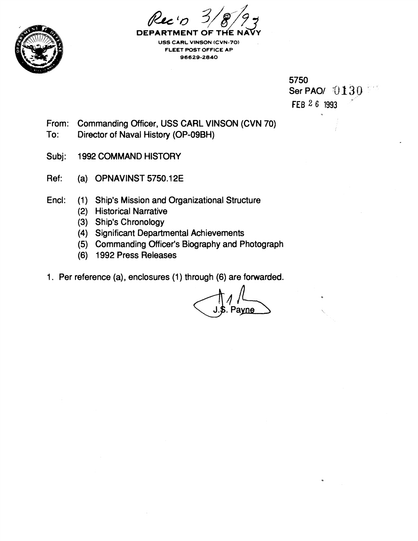



**DEPARTMENT OF USS CARL VIINSON (CVN-70) FLEET POST OFFICE AP 96629-2840** 

> 5750 Ser PAO $/130$ FEB **2 6 1993**

From: Commanding Officer, USS CARL VINSON (CVN 70)

- To: Director of Naval History (OP-O9BH)
- Subj: 1992 COMMAND HISTORY
- Ref: (a) OPNAVINST 5750.12E
- Encl: (1) Ship's Mission and Organizational Structure
	- (2) Historical Narrative
	- (3) Ship's Chronology
	- (4) Significant Departmental Achievements
	- (5) Commanding Officer's Biography and Photograph
	- (6) 1992 Press Releases
- 1. Per reference (a), enclosures (1) through (6) are forwarded.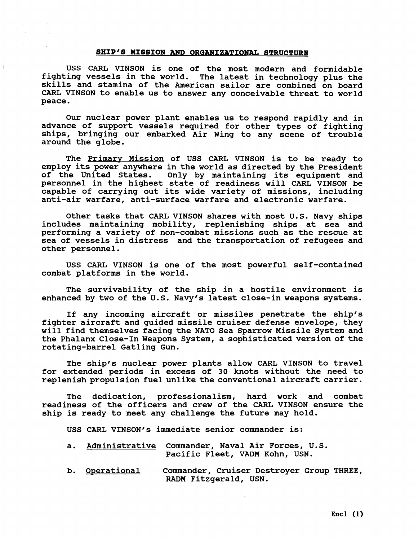### **SHIP'S MISSION AND ORGANIZATIONAL STRUCTURE**

 $\overline{1}$ 

**USS CARL VINSON is one of the most modern and formidable fighting vessels in the world. The latest in technology plus the skills and stamina of the American sailor are combined on board CARL VINSON to enable us to answer any conceivable threat to world peace.** 

**Our nuclear power plant enables us to respond rapidly and in advance of support vessels required for other types of fighting ships, bringing our embarked Air Wing to any scene of trouble around the globe.** 

**The Primary Mission of USS CARL VINSON is to be ready to employ its power anywhere in the world as directed by the President Only by maintaining its equipment and personnel in the highest state of readiness will CARL VINSON be capable of carrying out its wide variety of missions, including anti-air warfare, anti-surface warfare and electronic warfare.** 

**Other tasks that CARL VINSON shares with most U.S. Navy ships includes maintaining mobility, replenishing ships at sea and performing a variety of non-combat missions such as the rescue at sea of vessels in distress and the transportation of refugees and other personnel.** 

**USS CARL VINSON is one of the most powerful self-contained combat platforms in the world.** 

**The survivability of the ship in a hostile environment is**  enhanced by two of the U.S. Navy's latest close-in weapons systems.

**If any incoming aircraft or missiles penetrate the shipfs fighter aircraft and guided missile cruiser defense envelope, they will find themselves facing the NATO Sea Sparrow Missile System and the Phalanx Close-In Weapons System, a sophisticated version of the rotating-barrel Gatling Gun.** 

**The shipfs nuclear power plants allow CARL VINSON to travel for extended periods in excess of 30 knots without the need to replenish propulsion fuel unlike the conventional aircraft carrier.** 

**The dedication, professionalism, hard work and combat readiness of the officers and crew of the CARL VINSON ensure the ship is ready to meet any challenge the future may hold.** 

USS CARL VINSON's immediate senior commander is:

- **a. Administrative Commander, Naval Air Forces, U.S. Pacific Fleet, VADM Kohn, USN.**
- **b. Owerational Commander, Cruiser Destroyer Group THREE, RADM Fitzgerald, USN.**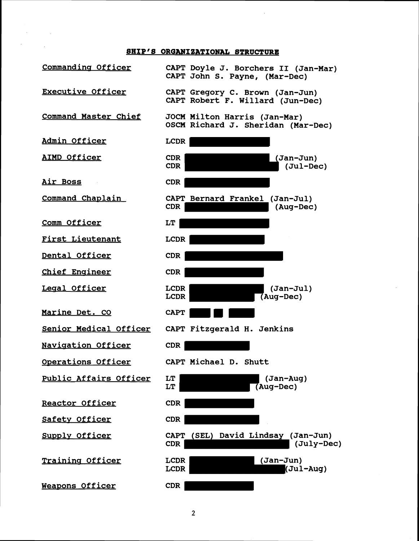# **8HIP'S ORGANIZATIONAL STRUCTURE**

**Commandina Officer CAPT Doyle J. Borchers I1 (Jan-Mar) CAPT John S. Payne, (Mar-Dec) Executive Officer CAPT Gregory C. Brown (Jan-Jun) CAPT Robert F. Willard (Jun-Dec) Command Master Chief JOCM Milton Harris (Jan-Mar) OSCM Richard J. Sheridan (Mar-Dec) Admin Officer LCDR AIMD Officer CDR (Jan-Jun) CDR (Jul-Dec) Air Boss CDR**  Command Chaplain **CAPT Bernard Frankel (Jan-Jul) CDR (Aug-Dec) Comm Officer LT First Lieutenant LCDR Dental Officer CDR Chief Enaineer CDR Leaal Officer**  LCDR (Jan-Jul)<br>
LCDR (Aug-Dec) **LCDR (Aug-Dec) Marine Det. CO CAPT Senior Medical Officer CAPT Fitzgerald H. Jenkins**  Navigation Officer **CDR Operations Officer CAPT Michael D. Shutt Public Affairs Officer**  LT (Jan-Aug)<br>LT (Aug-Dec) **LT (Aug-Dec) peactor Officer CDR Safetv Officer CDR CAPT (SEL) David Lindsay (Jan-Jun)**  Supply Officer **CDR (July-Dec) Trainins Officer**  LCDR (Jan-Jun)<br>
LCDR (Jul **LCDR (Jul-Aug) Weavons Officer CDR**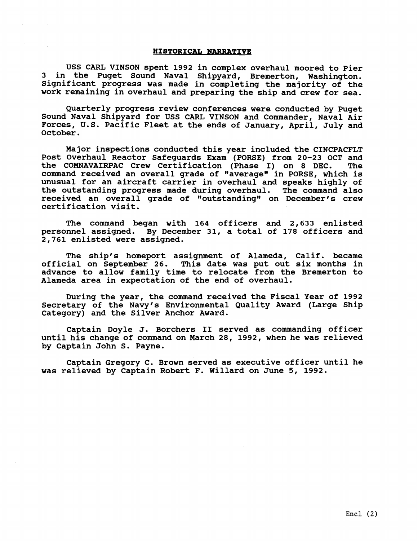## **HISTORICAL NARRATIVE**

**USS CARL VINSON spent 1992 in complex overhaul moored to Pier 3 in the Puget Sound Naval Shipyard, Bremerton, Washington. Significant progress was made in completing the majority of the work remaining in overhaul and preparing the ship and crew for sea.** 

**Quarterly progress review conferences were conducted by Puget Sound Naval Shipyard for USS CARL VINSON and Commander, Naval Air Forces, U.S. Pacific Fleet at the ends of January, April, July and October.** 

**Major inspections conducted this year included the CINCPACFLT Post Overhaul Reactor Safeguards Exam (PORSE) from 20-23 OCT and the COMNAVAIRPAC Crew Certification (Phase I) on 8 DEC. The command received an overall grade of "averagew in PORSE, which is unusual for an aircraft carrier in overhaul and speaks highly of the outstanding progress made during overhaul. The command also**  received an overall grade of "outstanding" on December's crew **certification visit.** 

**The command began with 164 officers and 2,633 enlisted personnel assigned. By December 31, a total of 178 officers and 2,761 enlisted were assigned.** 

**The ship's homeport assignment of Alameda, Calif. became official on September 26. This date was put out six months in advance to allow family time to relocate from the Bremerton to Alameda area in expectation of the end of overhaul.** 

During the year, the command received the Fiscal Year of 1992 Secretary of the Navy's Environmental Quality Award (Large Ship **Category) and the Silver Anchor Award.** 

**Captain Doyle J. Borchers I1 served as commanding. officer until his change of command on March 28, 1992, when he was relieved by Captain John S. Payne.** 

**Captain Gregory C. Brown served as executive officer until he was relieved by Captain Robert F. Willard on June 5, 1992.**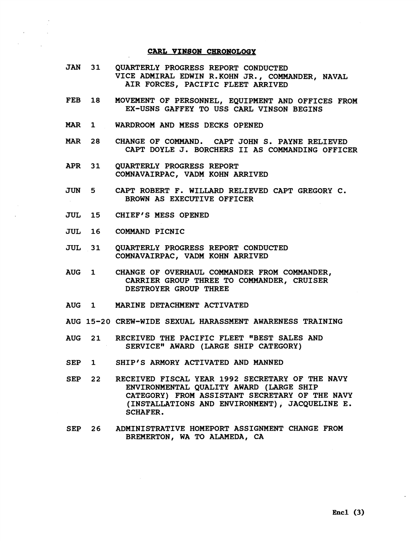## **CARL VINSON CHRONOLOGY**

- **JAN 31 QUARTERLY PROGRESS REPORT CONDUCTED VICE ADMIRAL EDWIN R.KOHN JR., COMMANDER, NAVAL AIR FORCES, PACIFIC FLEET ARRIVED**
- **FEB 18 MOVEMENT OF PERSONNEL, EQUIPMENT AND OFFICES FROM EX-USNS GAFFEY TO USS CARL VINSON BEGINS**
- **MAR 1 WARDROOM AND MESS DECKS OPENED**
- *MAR*  **28 CHANGE OF COMMAND. CAPT JOHN S. PAYNE RELIEVED CAPT DOYLE J. BORCHERS I1 AS COMMANDING OFFICER**
- **APR 31 QUARTERLY PROGRESS REPORT COMNAVAIRPAC, VADM KOHN ARRIVED**
- **JUN 5 CAPT ROBERT F. WILLARD RELIEVED CAPT GREGORY C. BROWN AS EXECUTIVE OFFICER**
- **JUL 15 CHIEF'S MESS OPENED**
- **JUL 16 COMMAND PICNIC**
- **JUL 31 QUARTERLY PROGRESS REPORT CONDUCTED COMNAVAIRPAC, VADM KOHN ARRIVED**
- **AUG 1 CHANGE OF OVERHAUL COMMANDER FROM COMMANDER, CARRIER GROUP THREE TO COMMANDER, CRUISER DESTROYER GROW THREE**
- **AUG 1 MARINE DETACHMENT ACTIVATED**
- **AUG 15-20 CREW-WIDE SEXUAL HARASSMENT AWARENESS TRAINING**
- **AUG 21 RECEIVED THE PACIFIC FLEET "BEST SALES AND SERVICE" AWARD (LARGE SHIP CATEGORY)**
- **SEP 1 SHIP'S ARMORY ACTIVATED AND MANNED**
- **SEP 22 RECEIVED FISCAL YEAR 1992 SECRETARY OF THE NAVY ENVIRONMENTAL QUALITY AWARD (LARGE SHIP CATEGORY) FROM ASSISTANT SECRETARY OF THE NAVY (INSTALLATIONS AND ENVIRONMENT), JACQUELINE E. SCHAFER.**
- **SEP 26 ADMINISTRATIVE HOMEPORT ASSIGNMENT CHANGE FROM BREMERTON, WA TO ALAMEDA, CA**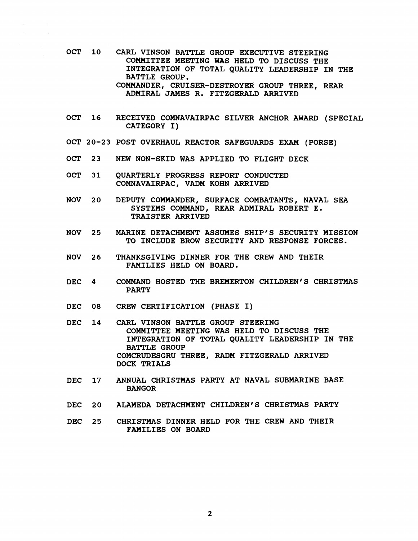- **OCT 10 CARL VINSON BATTLE GROUP EXECUTIVE STEERING COMMITTEE MEETING WAS HELD TO DISCUSS THE INTEGRATION OF TOTAL QUALITY LEADERSHIP IN THE BATTLE GROUP. COMMANDER, CRUISER-DESTROYER GROUP THREE, REAR ADMIRAL JAMES R. FITZGERALD ARRIVED**
- **OCT 16 RECEIVED COMNAVAIRPAC SILVER ANCHOR AWARD (SPECIAL CATEGORY I)**
- **OCT 20-23 POST OVERHAUL REACTOR SAFEGUARDS EXAM (PORSE)**
- **OCT 23 NEW NON-SKID WAS APPLIED TO FLIGHT DECK**
- **OCT 31 QUARTERLY PROGRESS REPORT CONDUCTED COMNAVAIRPAC, VADM KOHN ARRIVED**
- **NOV 20 DEPUTY COMMANDER, SURFACE COMBATANTS, NAVAL SEA**  SYSTEMS COMMAND, REAR ADMIRAL ROBERT E. **TRAISTER ARRIVED**
- **NOV 25 MARINE DETACHMENT ASSUMES SHIP'S SECURITY MISSION TO INCLUDE BROW SECURITY AND RESPONSE FORCES.**
- **NOV 26 THANKSGIVING DINNER FOR THE CREW AND THEIR FAMILIES HELD ON BOARD.**
- **DEC 4 COMMAND HOSTED THE BREMERTON CHILDREN'S CHRISTMAS PARTY**
- **DEC 08 CREW CERTIFICATION (PHASE I)**
- **DEC 14 CARL VINSON BATTLE GROUP STEERING COMMITTEE MEETING WAS HELD TO DISCUSS THE INTEGRATION OF TOTAL QUALITY LEADERSHIP IN THE BATTLE GROUP COMCRUDESGRU THREE, RADM FITZGERALD ARRIVED DOCK TRIALS**
- **DEC 17 ANNUAL CHRISTMAS PARTY AT NAVAL SUBMARINE BASE BANGOR**
- **DEC 20 ALAMEDA DETACHMENT CHILDREN'S CHRISTMAS PARTY**
- **DEC 25 CHRISTMAS DINNER HELD FOR THE CREW AND THEIR FAMILIES ON BOARD**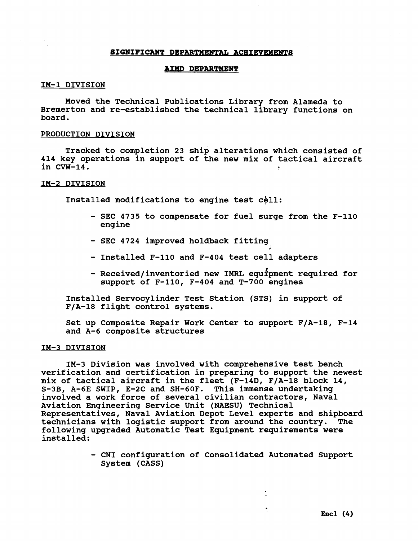#### **SIGNIFICANT DEPARTMENTAL ACHIEVEMENTS**

### **AIMD DEPARTMENT**

### **IM-1 DIVISION**

**Moved the Technical Publications Library from Alameda to Bremerton and re-established the technical library functions on board.** 

## **PRODUCTION DIVISION**

**Tracked to completion 23 ship alterations which consisted of 414 key operations in support of the new mix of tactical aircraft in CVW-14.** 

## **IM-2 DIVISION**

Installed modifications to engine test cell:

- **SEC 4735 to compensate for fuel surge from the F-110 engine**
- **SEC 4724 improved holdback fitting**
- **Installed F-110 and F-404 test cell adapters**
- **Received/inventoried new IMFtL equfpment required for support of F-110, F-404 and T-700 engines**

**Installed Servocylinder Test Station (STS) in support of F/A-18 flight control systems.** 

**Set up Composite Repair Work Center to support F/A-18, F-14 and A-6 composite structures** 

## **IM-3 DIVISION**

**IM-3 Division was involved with comprehensive test bench verification and certification in preparing to support the newest mix of tactical aircraft in the fleet (F-14D, F/A-18 block 14, S-3B, A-6E SWIP, E-2C and SH-60F. This immense undertaking involved a work force of several civilian contractors, Naval Aviation Engineering Service Unit (NAESU) Technical Representatives, Naval Aviation Depot Level experts and shipboard technicians with logistic support from around the country. The following upgraded Automatic Test Equipment requirements were installed:** 

> - **CNI configuration of Consolidated Automated Support System (CASS)**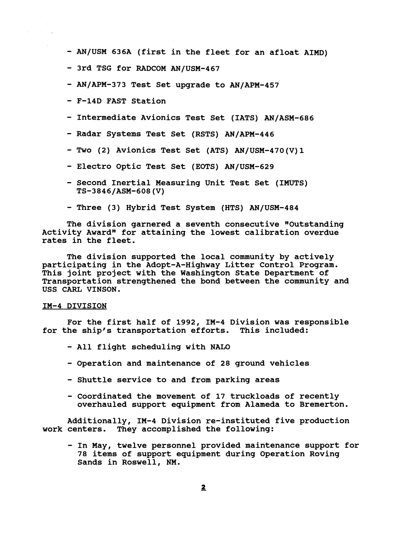- **AN/USM 636A (first in the fleet for an afloat AIMD)**
- **3rd TSG for RADCOM AN/USM-467**
- **AN/APM-373 Test Set upgrade to AN/APM-457**
- **F-14D FAST Station**
- **Intermediate Avionics Test Set (IATS) AN/ASM-686**
- **Radar Systems Test Set (RSTS) AN/APM-446**
- **Two (2) Avionics Test Set (ATS) AN/USM-470(V) 1**
- **Electro Optic Test Set (EOTS) AN/USM-629**
- **Second Inertial Measuring Unit Test Set (IMUTS) TS-3846/ASM-608 (V)**
- **Three (3) Hybrid Test System (HTS) AN/USM-484**

**The division garnered a seventh consecutive "Outstanding**  Activity Award" for attaining the lowest calibration overdue **rates in the fleet.** 

**The division supported the local community by actively participating in the Adopt-A-Highway Litter Control Program. This joint project with the Washington State Department of Transportation strengthened the bond between the community and USS CARL VINSON.** 

## **IM-4 DIVISION**

**For the first half of 1992, IM-4 Division was responsible for the ship's transportation efforts. This included:** 

- **All flight scheduling with NALO**
- **Operation and maintenance of 28 ground vehicles**
- **Shuttle service to and from parking areas**
- **Coordinated the movement of 17 truckloads of recently overhauled support equipment from Alameda to Bremerton.**

**Additionally, IM-4 Division re-instituted five production work centers. They accomplished the following:** 

- **In May, twelve personnel provided maintenance support for 78 items of support equipment during Operation Roving Sands in Roswell, NM.**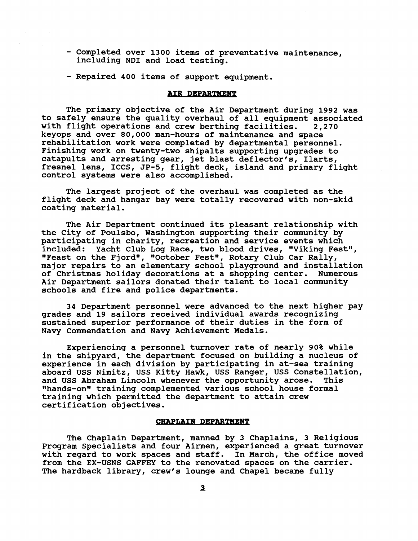- **Completed over 1300 items of preventative maintenance, including NDI and load testing.**
- **Repaired 400 items of support equipment.**

## **AIR DEPARTMENT**

**The primary objective of the Air Department during 1992 was to safely ensure the quality overhaul of all equipment associated with flight operations and crew berthing facilities. 2,270 keyops and over 80,000 man-hours of maintenance and space rehabilitation work were completed by departmental personnel. Finishing work on twenty-two shipalts supporting upgrades to catapults and arresting gear, jet blast deflector's, Ilarts, fresnel lens, ICCS, JP-5, flight deck, island and primary flight control systems were also accomplished.** 

**The largest project of the overhaul was completed as the flight deck and hangar bay were totally recovered with non-skid coating material.** 

**The Air Department continued its pleasant relationship with the City of Poulsbo, Washington supporting their community by participating in charity, recreation and service events which**  included: Yacht Club Log Race, two blood drives, "Viking Fest", "Feast on the Fjord", "October Fest", Rotary Club Car Rally, **major repairs to an elementary school playground and installation of Christmas holiday decorations at a shopping center. Numerous Air Department sailors donated their talent to local community schools and fire and police departments.** 

**34 Department personnel were advanced to the next higher pay grades and 19 sailors received individual awards recognizing sustained superior performance of their duties in the form of Navy Commendation and Navy Achievement Medals.** 

**Experiencing a personnel turnover rate of nearly 90% while in the shipyard, the department focused on building a nucleus of experience in each division by participating in at-sea training aboard USS Nimitz, USS Kitty Hawk, USS Ranger, USS Constellation,**  and USS Abraham Lincoln whenever the opportunity arose. **\*'hands-on8@ training complemented various school house formal training which permitted the department to attain crew certification objectives.** 

# **CHAPLAIN DEPARTMENT**

**The chaplain Department, manned by 3 Chaplains, 3 Religious Program Specialists and four Airmen, experienced a great turnover with regard to work spaces and staff. In March, the office moved from the EX-USNS GAFFEY to the renovated spaces on the carrier. The hardback library, crew's lounge and Chapel became fully**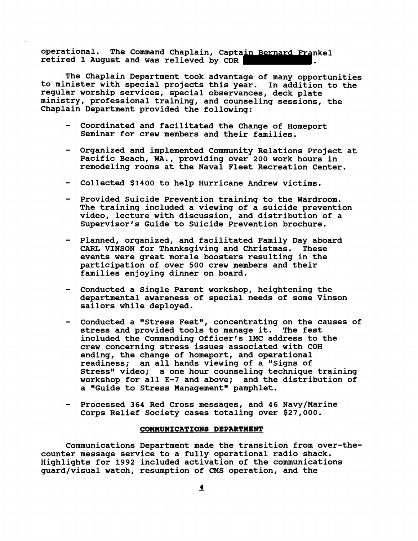**operational. The Command Chaplain, Captain Bernard Frankel retired 1 August and was relieved by CDR .** 

**The Chaplain Department took advantage of many opportunities to minister with special projeats this year. In addition to the regular worship services, special observances, deck plate ministry, professional training, and counseling sessions, the Chaplain Department provided the following:** 

- **coordinated and facilitated the Change of Homeport Seminar for crew members and their families.**
- **Organized and implemented Community Relations Project at Pacific Beach, WA., providing over 200 work hours in remodeling rooms at the Naval Fleet Recreation Center.**
- **Collected \$1400 to help Hurricane Andrew victims.**
- **Provided Suicide Prevention training to the Wardroom. The training included a viewing of a suicide prevention video, lecture with discussion, and distribution of a Supervisor's Guide to Suicide Prevention brochure.**
- **Planned, organized, and facilitated Family Day aboard CARL VINSON for Thanksgiving and Christmas. These events were great morale boosters resulting in the participation of over 500 crew members and their families enjoying dinner on board.**
- **Conducted a Single Parent workshop, heightening the departmental awareness of special needs of some Vinson sailors while deployed.**
- **Conducted a "Stress Fest", concentrating on the causes of stress and provided tools to manage it. The fest included the Commanding Officer's 1MC address to the crew concerning stress issues associated with COH ending, the change of homeport, and operational readiness; an all hands viewing of a "Signs of**  Stress" video; a one hour counseling technique training **workshop for all E-7 and above; and the distribution of**  a "Guide to Stress Management" pamphlet.
- **Processed 364 Red Cross messages, and 46 Navy/Marine Corps Relief Society cases totaling over \$27,000.**

### **COMMUNICATIONS DEPARTMENT**

**Communications Department made the transition from over-thecounter message service to a fully operational radio shack. Highlights for 1992 included activation of the communications guard/visual watch, resumption of CMS operation, and the**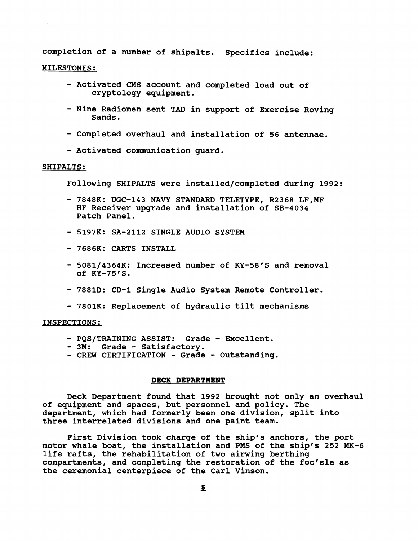**completion of a number of shipalts. Specifics include:** 

## **MILESTONES:**

- **Activated CMS account and completed load out of cryptology equipment.**
- **Nine Radiomen sent TAD in support of Exercise Roving Sands.**
- **Completed overhaul and installation of 56 antennae.**
- **Activated communication guard.**

# **SHIPALTS** :

**Following SHIPALTS were installed/completed during 1992:** 

- **7848K: UGC-143 NAVY STANDARD TELETYPE, R2368 LF,MF HF Receiver upgrade and installation of SB-4034 Patch Panel.**
- **5197K: SA-2112 SINGLE AUDIO SYSTEM**
- **7686K: CARTS INSTALL**
- **5081/4364K: Increased number of KY-58's and removal of KY-75's.**
- **7881D: CD-1 Single Audio System Remote Controller.**
- **7801K: Replacement of hydraulic tilt mechanisms**

## **INSPECTIONS:**

- **PQS/TRAINING ASSIST: Grade Excellent.**
- **3M: Grade Satisfactory.**
- **CREW CERTIFICATION Grade Outstanding.**

## **DECK DEPARTMENT**

**Deck Department found that 1992 brought not only an overhaul of equipment and spaces, but personnel and policy. The department, which had formerly been one division, split into three interrelated divisions and one paint team.** 

**First Division took charge of the ship's anchors, the port motor whale boat, the installation and PMS of the shipfs 252 MK-6 life rafts, the rehabilitation of two airwing berthing compartments, and completing the restoration of the focfsle as the ceremonial centerpiece of the Carl Vinson.**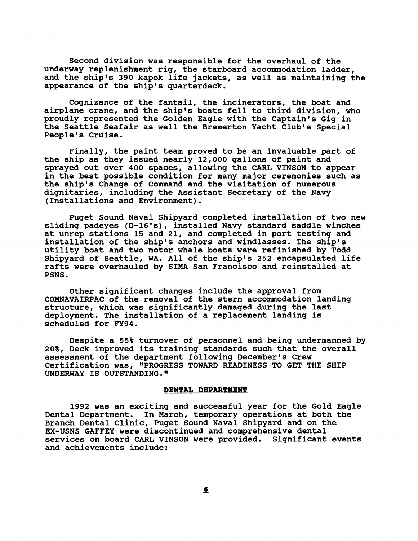**Second division was responsible for the overhaul of the underway replenishment rig, the starboard accommodation ladder, and the ship's 390 kapok life jackets, as well as maintaining the appearance of the ship's quarterdeck.** 

**Cognizance of the fantail, the incinerators, the boat and airplane crane, and the ship's boats fell to third division, who proudly represented the Golden Eagle with the Captain's Gig in the Seattle seafair as well the Bremerton Yacht Club's Special People's Cruise.** 

**Finally, the paint team proved to be an invaluable part of the ship as they issued nearly 12,000 gallons of paint and sprayed out over 400 spaces, allowing the CARL VINSON to appear in the best possible condition for many major ceremonies such as the ship's Change of Command and the visitation of numerous dignitaries, including the Assistant Secretary of the Navy (Installations and Environment).** 

**Puget Sound Naval Shipyard completed installation of two new sliding padeyes (D-16's), installed Navy standard saddle winches at unrep stations 15 and 21, and completed in port testing and installation of the ship's anchors and windlasses. The ship's utility boat and two motor whale boats were refinished by Todd Shipyard of Seattle, WA. All of the ship's 252 encapsulated life rafts were overhauled by SIMA San Francisco and reinstalled at PSNS.** 

**Other significant changes include the approval from COMNAVAIRPAC of the removal of the stern accommodation landing structure, which was significantly damaged during the last deployment. The installation of a replacement landing is scheduled for FY94.** 

**Despite a 55% turnover of personnel and being undermanned by 20%, Deck improved its training standards such that the overall assessment of the department following December's Crew**  Certification was, "PROGRESS TOWARD READINESS TO GET THE SHIP **UNDERWAY IS OUTSTANDING."** 

## **DENTAL DEPARTMENT**

**1992 was an exciting and successful year for the Gold Eagle Dental Department. In March, temporary operations at both the Branch Dental Clinic, Puget Sound Naval Shipyard and on the EX-USNS GAFFEY were discontinued and comprehensive dental services on board CARL VINSON were provided. Significant events and achievements include:**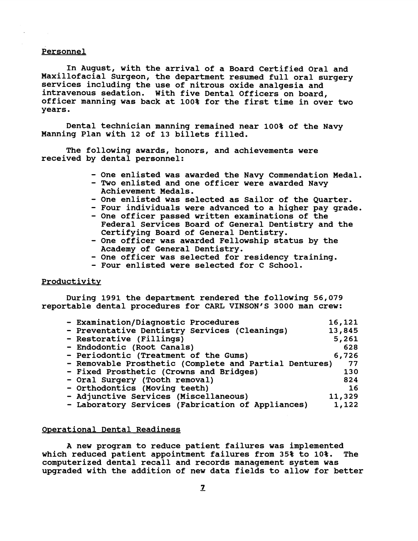## **Personnel**

**In August, with the arrival of a Board Certified Oral and**  Maxillofacial Surgeon, the department resumed full oral surgery **services including the use of nitrous oxide analgesia and intravenous sedation. With five Dental Officers on board, officer manning was back at 100% for the first time in over two years.** 

**Dental technician manning remained near 100% of the Navy Manning Plan with 12 of 13 billets filled.** 

**The following awards, honors, and achievements were received by dental personnel:** 

- **One enlisted was awarded the Navy Commendation Medal.**
- **Two enlisted and one officer were awarded Navy Achievement Medals.**
- **One enlisted was selected as Sailor of the Quarter.**
- **Four individuals were advanced to a higher pay grade.**
- **One officer passed written examinations of the Federal Services Board of General Dentistry and the Certifying Board of General Dentistry.**
- **One officer was awarded Fellowship status by the Academy of General Dentistry.**
- **One officer was selected for residency training.**
- **Four enlisted were selected for C School.**

# **Productivity**

**During 1991 the department rendered the following 56,079**  reportable dental procedures for CARL VINSON'S 3000 man crew:

| - Examination/Diagnostic Procedures                    | 16,121 |
|--------------------------------------------------------|--------|
| - Preventative Dentistry Services (Cleanings)          | 13,845 |
| - Restorative (Fillings)                               | 5,261  |
| - Endodontic (Root Canals)                             | 628    |
| - Periodontic (Treatment of the Gums)                  | 6,726  |
| - Removable Prosthetic (Complete and Partial Dentures) | - 77   |
| - Fixed Prosthetic (Crowns and Bridges)                | 130    |
| - Oral Surgery (Tooth removal)                         | 824    |
| - Orthodontics (Moving teeth)                          | 16     |
| - Adjunctive Services (Miscellaneous)                  | 11,329 |
| - Laboratory Services (Fabrication of Appliances)      | 1,122  |

# **Operational Dental Readiness**

**A new program to reduce patient failures was implemented which reduced patient appointment failures from 35% to 10%. The computerized dental recall and records management system was upgraded with the addition of new data fields to allow for better**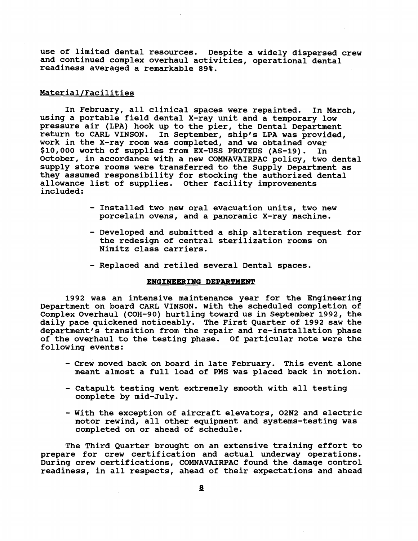**use of limited dental resources. Despite a widely dispersed crew and continued complex overhaul activities, operational dental readiness averaged a remarkable 89%.** 

# Material/Facilities

**In February, all clinical spaces were repainted. In March, using a portable field dental X-ray unit and a temporary low pressure air (LPA) hook up to the pier, the Dental Department return to CARL VINSON. In September, ship's LPA was provided, work in the X-ray room was completed, and we obtained over \$10,000 worth of supplies from EX-USS PROTEUS (AS-19). In October, in accordance with a new COMNAVAIRPAC policy, two dental supply store rooms were transferred to the Supply Department as they assumed responsibility for stocking the authorized dental allowance list of supplies. Other facility improvements included** :

- **Installed two new oral evacuation units, two new porcelain ovens, and a panoramic X-ray machine.**
- **Developed and submitted a ship alteration request for the redesign of central sterilization rooms on Nimitz class carriers.**
- **Replaced and retiled several Dental spaces.**

### ENGINEERING DEPARTMENT

**1992 was an intensive maintenance year for the Engineering Department on board CARL VINSON. With the scheduled completion of Complex Overhaul (COH-90) hurtling toward us in September 1992, the daily pace quickened noticeably. The First Quarter of 1992 saw the department's transition from the repair and re-installation phase of the overhaul to the testing phase. Of particular note were the following events:** 

- **Crew moved back on board in late February. This event alone meant almost a full load of PMS was placed back in motion.**
- **Catapult testing went extremely smooth with all testing complete by mid-July.**
- **With the exception of aircraft elevators, 02N2 and electric motor rewind, all other equipment and systems-testing was completed on or ahead of schedule.**

**The Third Quarter brought on an extensive training effort to prepare for crew certification and actual underway operations. During crew certifications, COMNAVAIRPAC found the damage control readiness, in all respects, ahead of their expectations and ahead**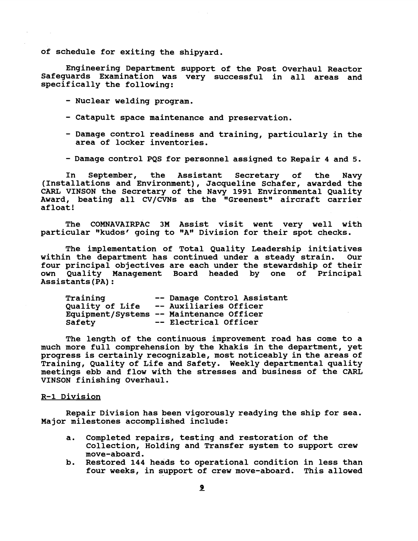**of schedule for exiting the shipyard.** 

Engineering Department support of the Post Overhaul Reactor Safeguards Examination was very successful in all areas and **specifically the following:** 

- **Nuclear welding program.**
- **Catapult space maintenance and preservation.**
- **Damage control readiness and training, particularly in the area of locker inventories.**
- **Damage control PQS for personnel assigned to Repair 4 and 5.**

**In September, the Assistant Secretary of the Navy (Installations and Environment), Jacqueline Schafer, awarded the CARL VINSON the Secretary of the Navy 1991 Environmental Quality**  Award, beating all CV/CVNs as the "Greenest" aircraft carrier **afloat!** 

**The COMNAVAIRPAC 3M Assist visit went very well with**  particular "kudos' going to "A" Division for their spot checks.

**The implementation of Total Quality Leadership initiatives**  within the department has continued under a steady strain. **four principal objectives are each under the stewardship of their**  Quality Management Board headed by one of **Assistants (PA)** :

| Training        | -- Damage Control Assistant              |
|-----------------|------------------------------------------|
| Quality of Life | -- Auxiliaries Officer                   |
|                 | Equipment/Systems -- Maintenance Officer |
| Safety          | -- Electrical Officer                    |

**The length of the continuous improvement road has come to a much more full comprehension by the khakis in the department, yet progress is certainly recognizable, most noticeably in the areas of Training, Quality of Life and Safety. Weekly departmental quality meetings ebb and flow with the stresses and business of the CARL VINSON finishing Overhaul.** 

# **R-1 Division**

**Repair Division has been vigorously readying the ship for sea. Major milestones accomplished include:** 

- **a. Completed repairs, testing and restoration of the Collection, Holding and Transfer system to support crew move-aboard.**
- **b. Restored 144 heads to operational condition in less than four weeks, in support of crew move-aboard. This allowed**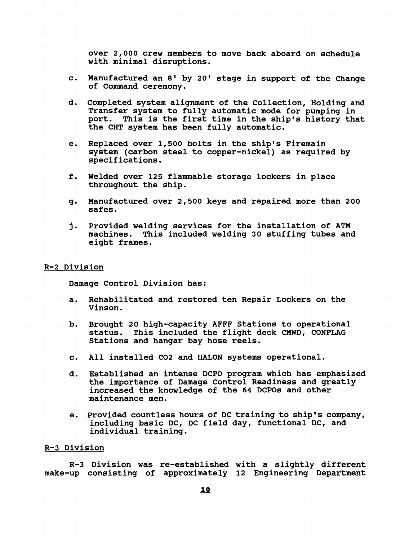**over 2,000 crew members to move back aboard on schedule with minimal disruptions.** 

- **c. Manufactured an 8' by 20' stage in support of the Change of Command ceremony.**
- **d. Completed system alignment of the Collection, Holding and Transfer system to fully automatic mode for pumping in port. This is the first time in the ship's history that the CHT system has been fully automatic.**
- **e. Replaced over 1,500 bolts in the ship's Firemain system (carbon steel to copper-nickel) as required by specifications.**
- **f. Welded over 125 flammable storage lockers in place throughout the ship.**
- **g. Manufactured over 2,500 keys and repaired more than 200 safes.**
- **j. Provided welding services for the installation of ATM machines. This included welding 30 stuffing tubes and eight frames.**

# **R-2 Division**

**Damage Control Division has:** 

- **a. Rehabilitated and restored ten Repair Lockers on the Vinson.**
- **b. Brought 20 high-capacity AFFF Stations to operational status. This included the flight deck CMWD, CONFLAG Stations and hangar bay hose reels.**
- **c. All installed C02 and HALON systems operational.**
- **d. Established an intense DCPO program which has emphasized the importance of Damage Control Readiness and greatly increased the knowledge of the 64 DCPOs and other maintenance men.**
- **e. Provided countless hours of DC training to ship's company, including basic DC, DC field day, functional DC, and individual training.**

# **R-3 Division**

**R-3 Division was re-established with a slightly different make-up consisting of approximately 12 Engineering Department**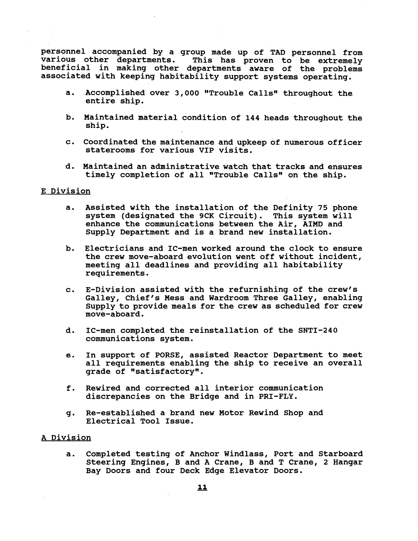**personnel accompanied by a group made up of TAD personnel from**  This has proven to be extremely **beneficial in making other departments aware of the problems associated with keeping habitability support systems operating.** 

- a. Accomplished over 3,000 "Trouble Calls" throughout the **entire ship.**
- **b. Maintained material condition of 144 heads throughout the ship.**
- c. Coordinated the maintenance and upkeep of numerous officer **staterooms for various VIP visits.**
- **d. Maintained an administrative watch that tracks and ensures**  timely completion of all "Trouble Calls" on the ship.

# **E Division**

- **a. Assisted with the installation of the Definity 75 phone system (designated the 9CK Circuit). This system will enhance the communications between the Air, AIMD and Supply Department and is a brand new installation.**
- **b. Electricians and IC-men worked around the clock to ensure the crew move-aboard evolution went off without incident, meeting all deadlines and providing all habitability requirements.**
- **c. E-Division assisted with the refurnishing of the crew's Galley, Chief's Mess and Wardroom Three Galley, enabling Supply to provide meals for the crew as scheduled for crew move-aboard.**
- **d. IC-men completed the reinstallation of the SNTI-240 communications system.**
- **e. In support of PORSE, assisted Reactor Department to meet all requirements enabling the ship to receive an overall**  grade of "satisfactory".
- **f. Rewired and corrected all interior communication discrepancies on the Bridge and in PRI-FLY.**
- **g. Re-established a brand new Motor Rewind Shop and Electrical Tool Issue.**

# **A Division**

**a. Completed testing of Anchor Windlass, Port and Starboard Steering Engines, B and A Crane, B and T Crane, 2 Hangar Bay Doors and four Deck Edge Elevator Doors.**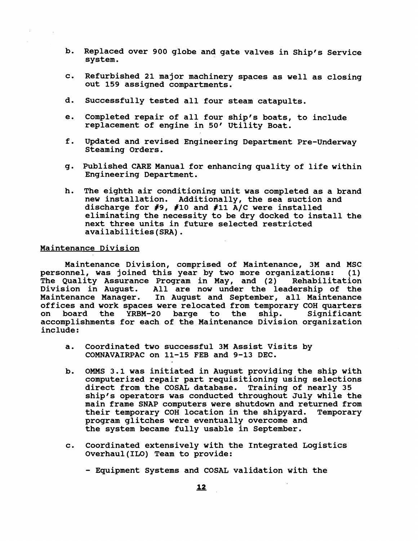- **b.** Replaced over 900 globe and gate valves in Ship's Service **system.**
- **c. Refurbished 21 major machinery spaces as well as closing out 159 assigned compartments.**
- **d. Successfully tested all four steam catapults.**
- **e. Completed repair of all four shipfs boats, to include replacement of engine in 50' Utility Boat.**
- **f. Updated and revised Engineering Department Pre-Underway Steaming Orders.**
- **g. Published CARE Manual for enhancing quality of life within Engineering Department.**
- **h. The eighth air conditioning unit was completed as a brand new installation. Additionally, the sea suction and**  discharge for #9, #10 and #11 A/C were installed **eliminating the necessity to be dry docked to install the next three units in future selected restricted availabilities(SRA).**

# **Maintenance Division**

**Maintenance Division, comprised of Maintenance, 3M and MSC**  personnel, was joined this year by two more organizations: **The Quality Assurance Program in May, and (2) Rehabilitation Division in August. All are now under the leadership of the Maintenance Manager. In August and September, all Maintenance offices and work spaces were relocated from temporary COH quarters**  board the YRBM-20 barge to the ship. **accomplishments for each of the Maintenance Division organization include** :

- **a. Coordinated two successful 3M Assist Visits by COMNAVAIRPAC on 11-15 FEB and 9-13 DEC.**
- **b. OMMS 3.1 was initiated in August providing the ship with computerized repair part requisitioning using selections direct from the COSAL database. Training of nearly 35**  ship's operators was conducted throughout July while the **main frame SNAP computers were shutdown and returned from their temporary COH location in the shipyard. Temporary program glitches were eventually overcome and the system became fully usable in September.**
- **c. Coordinated extensively with the Integrated Logistics Overhaul(IL0) Team to provide:** 
	- **Equipment Systems and COSAL validation with the**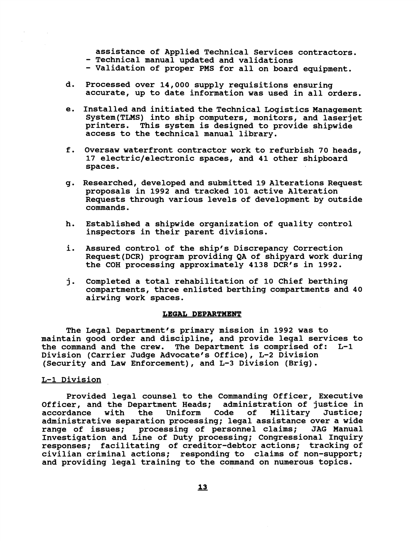**assistance of Applied Technical Services contractors.** 

- **Technical manual updated and validations**
- **Validation of proper PMS for all on board equipment.**
- **d. Processed over 14,000 supply requisitions ensuring accurate, up to date information was used in all orders.**
- **e. Installed and initiated the Technical Logistics Management System(TLMS) into ship computers, monitors, and laserjet**  printers. This system is designed to provide shipwide **access to the technical manual library.**
- **f. Oversaw waterfront contractor work to refurbish 70 heads, 17 electric/electronic spaces, and 41 other shipboard spaces.**
- **g. Researched, developed and submitted 19 Alterations Request proposals in 1992 and tracked 101 active Alteration Requests through various levels of development by outside commands.**
- **h. Established a shipwide organization of quality control inspectors in their parent divisions.**
- **i. Assured control of the ship's Discrepancy Correction Request(DCR) program providing QA of shipyard work during**  the COH processing approximately 4138 DCR's in 1992.
- **j. Completed a total rehabilitation of 10 Chief berthing compartments, three enlisted berthing compartments and 40 airwing work spaces.**

# **LEGAL DEPARTMENT**

**The Legal Department's primary mission in 1992 was to maintain good order and discipline, and provide legal services to the command and the crew. The Department is comprised of: L-1 Division (Carrier Judge Advocate's Office), L-2 Division (Security and Law Enforcement), and L-3 Division (Brig).** 

# **L-1 Division**

**Provided legal counsel to the Commanding Officer, Executive Officer, and the Department Heads; accordance with the Uniform Code of Military Justice; administrative separation processing; legal assistance over a wide range of issues; processing of personnel claims; JAG Manual Investigation and Line of Duty processing; Congressional Inquiry responses; facilitating of creditor-debtor actions; tracking of civilian criminal actions; responding to claims of non-support; and providing legal training to the command on numerous topics.**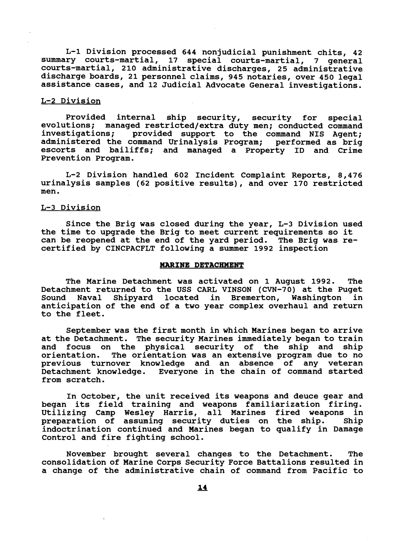**L-1 Division processed 644 nonjudicial punishment chits, 42 summary courts-martial, 17 special courts-martial, 7 general courts-martial, 210 administrative discharges, 25 administrative discharge boards, 21 personnel claims, 945 notaries, over 450 legal assistance cases, and 12 Judicial Advocate General investigations.** 

### **L-2 Division**

**Provided internal ship security, security for special**  evolutions; managed restricted/extra duty men; conducted command investigations; provided support to the command NIS Agent: provided support to the command NIS Agent; **administered the command Urinalysis Program; performed as brig escorts and bailiffs; and managed a Property ID and Crime Prevention Program.** 

**L-2 Division handled 602 Incident Complaint Reports, 8,476 urinalysis samples (62 positive results), and over 170 restricted men.** 

# **L-3 Division**

**Since the Brig was closed during the year, L-3 Division used the time to upgrade the Brig to meet current requirements so it can be reopened at the end of the yard period. The Brig was recertified by CINCPACFLT following a sumer 1992 inspection** 

#### **MARINE DETACHMENT**

**The Marine Detachment was activated on 1 August 1992. The**  Detachment returned to the USS CARL VINSON (CVN-70) at the Puget **Sound Naval Shipyard located in Bremerton, Washington in anticipation of the end of a two year complex overhaul and return to the fleet.** 

**September was the first month in which Marines began to arrive at the Detachment. The security Marines immediately began to train and focus on the physical security of the ship and ship orientation. The orientation was an extensive program due to no previous turnover knowledge and an absence of any veteran Detachment knowledge. Everyone in the chain of command started from scratch.** 

**In October, the unit received its weapons and deuce gear and began its field training and weapons familiarization firing. Utilizing Camp Wesley Harris, all Marines fired weapons in preparation of assuming security duties on the ship. ship indoctrination continued and Marines began to qualify in Damage Control and fire fighting school.** 

**November brought several changes to the Detachment. The consolidation of Marine Corps Security Force Battalions resulted in a change of the administrative chain of command from Pacific to**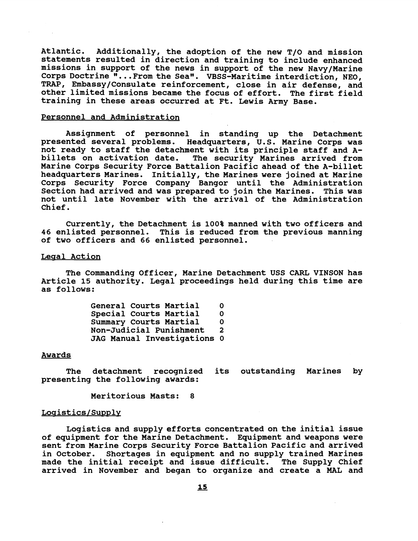**Atlantic. Additionally, the adoption of the new T/O and mission statements resulted in direction and training to include enhanced missions in support of the news in support of the new Navy/Marine Corps Doctrine "...From the Seaw. VBSS-Maritime interdiction, NEO, TRAP, Ernbassy/Consulate reinforcement, close in air defense, and other limited missions became the focus of effort. The first field training in these areas occurred at Ft. Lewis Army Base.** 

## **Personnel and Administration**

**Assignment of personnel in standing up the Detachment presented several problems. Headquarters, U.S. Marine Corps was not ready to staff the detachment with its principle staff and Abillets on activation date. The security Marines arrived from Marine Corps Security Force Battalion Pacific ahead of the A-billet headquarters Marines. Initially, the Marines were joined at Marine Corps security Force Company Bangor until the Administration**  Section had arrived and was prepared to join the Marines. This was **not until late November with the arrival of the Administration Chief.** 

**Currently, the Detachment is 100% manned with two officers and 46 enlisted personnel. This is reduced from the previous manning of two officers and 66 enlisted personnel.** 

## Legal Action

**The Commanding Officer, Marine Detachment USS CARL VINSON has Article 15 authority. Legal proceedings held during this time are as follows:** 

> **General Courts Martial 0 Special Courts Martial 0 Summary Courts Martial Non-Judicial Punishment 2 JAG Manual Investigations 0**

### **Awards**

**The detachment recognized its outstanding Marines by presenting the following awards:** 

**Meritorious Masts: 8** 

#### Logistics/Supply

**Logistics and supply efforts concentrated on the initial issue of equipment for the Marine Detachment. Equipment and weapons were sent fromMarine Corps Security Force Battalion Pacific and arrived in October. Shortages in equipment and no supply trained Marines made the initial receipt and issue difficult. The Supply Chief arrived in November and began to organize and create a MAL and**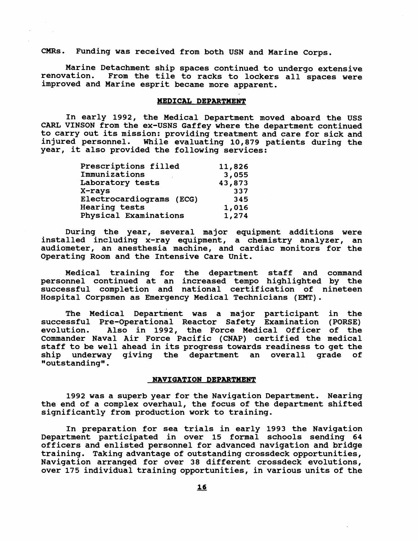**CMRs. Funding was received from both USN and Marine Corps.** 

**Marine Detachment ship spaces continued to undergo extensive renovation. From the tile to racks to lockers all spaces were improved and Marine esprit became more apparent.** 

## **MEDICAL DEPARTMENT**

**In early 1992, the Medical Department moved aboard the USS CARL VINSON from the ex-USNS Gaffey where the department continued to carry out its mission: providing treatment and care for sick and injured personnel. While evaluating 10,879 patients during the year, it also provided the following services:** 

| Prescriptions filled     | 11,826 |
|--------------------------|--------|
| Immunizations            | 3,055  |
| Laboratory tests         | 43,873 |
| X-rays                   | 337    |
| Electrocardiograms (ECG) | 345    |
| <b>Hearing tests</b>     | 1,016  |
| Physical Examinations    | 1,274  |

**During the year, several major equipment additions were installed including x-ray equipment, a chemistry analyzer, an audiometer, an anesthesia machine, and cardiac monitors for the Operating Room and the Intensive Care Unit.** 

**Medical training for the department staff and command personnel continued at an increased tempo highlighted by the successful completion and national certification of nineteen Hospital Corpsmen as Emergency Medical Technicians (EMT).** 

The Medical Department was a major participant in the **successful Pre-Operational Reactor Safety Examination (PORSE) evolution. Also in 1992, the Force Medical Officer of the Commander Naval Air Force Pacific (CNAP) certified the medical staff to be well ahead in its progress towards readiness to get the**  giving the department an overall grade of **ggoutstandinggg** .

#### **NAVIGATION DEPARTMENT**

**1992 was a superb year for the Navigation Department. Nearing the end of a complex overhaul, the focus of the department shifted significantly from production work to training.** 

**In preparation for sea trials in early 1993 the Navigation Department participated in over 15 formal schools sending 64 officers and enlisted personnel for advanced navigation and bridge training. Taking advantage of outstanding crossdeck opportunities, Navigation arranged for over 38 different crossdeck evolutions, over 175 individual training opportunities, in various units of the**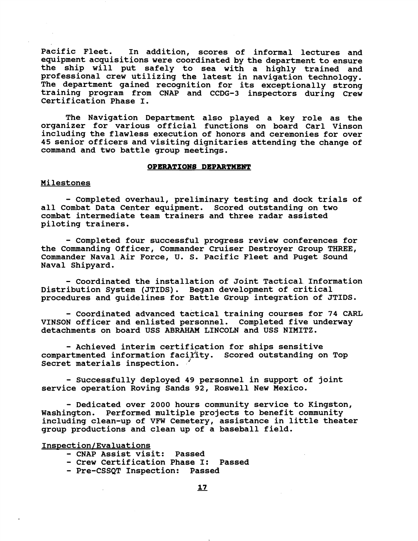**Pacific Fleet. In addition, scores of informal lectures and equipment acquisitions were coordinated by the department to ensure the ship will put safely to sea with a highly trained and professional crew utilizing the latest in navigation technology. The department gained recognition for its exceptionally strong training program from CNAP and CCDG-3 inspectors during Crew certification Phase I.** 

**The Navigation Department also played a key role as the organizer for various official functions on board Carl Vinson including the flawless execution of honors and ceremonies for over 45 senior officers and visiting dignitaries attending the change of command and two battle group meetings.** 

# **OPERATION8 DEPARTMENT**

## **Milestones**

- **Completed overhaul, preliminary testing and dock trials of all Combat Data Center equipment. Scored outstanding on two combat intermediate team trainers and three radar assisted piloting trainers.** 

- **Completed four successful progress review conferences for the Commanding Officer, Commander Cruiser Destroyer Group THREE, Commander Naval Air Force, U. S. Pacific Fleet and Puget Sound Naval Shipyard.** 

- **Coordinated the installation of Joint Tactical. Information Distribution System (JTIDS). Began development of critical procedures and guidelines for Battle Group integration of JTIDS.** 

- **Coordinated advanced tactical training courses for 74 CARL VINSON officer and enlisted personnel. Completed five underway detachments on board USS ABRAHAM LINCOLN and USS NIMITZ.** 

- **Achieved interim certification for ships sensitive compartmented information faciyity. Scored outstanding on Top Secret materials inspection.** 

- **Successfully deployed 49 personnel in support of joint service operation Roving Sands 92, Roswell New Mexico.** 

- **Dedicated over 2000 hours community service to Kingston, Washington. Performed multiple projects to benefit community including clean-up of VFW Cemetery, assistance in little theater group productions and clean up of a baseball field.** 

#### **Inspection/Evaluations**

- **CNAP Assist visit: Passed**
- **Crew Certification Phase I: Passed**
- **Pre-CSSQT Inspection: Passed**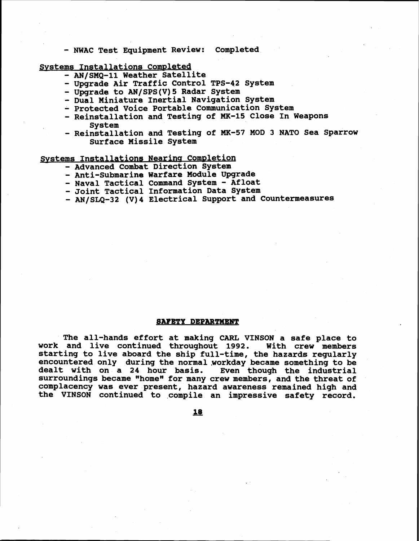- **NWAC Test Equipment Review: Completed** 

Systems Installations Completed

- **AN/SMQ-11 Weather Satellite**
- **Upgrade Air Traffic Control TPS-42 System**
- **Upgrade to AN/SPS(V)5 Radar System**
- **Dual Miniature Inertial Navigation System**
- **Protected Voice Portable Communication System**
- **Reinstallation and Testing of MK-15 Close In Weapons System**
- **Reinstallation and Testing of MK-57 MOD 3 NATO Sea Sparrow Surface Missile System**

**Systems Installations Nearing Completion** 

- **Advanced Combat Direction System**
- **Anti-Submarine Warfare Module Upgrade**
- **Naval Tactical Command System Afloat**
- **Joint Tactical Information Data System**
- **AN/SLQ-32 (V)4 Electrical Support and Countermeasures**

#### **SAFETY DEPARTMENT**

**The all-hands effort at making CARL VINSON a safe place to work and live continued throughout 1992. With crew members starting to live aboard the ship full-time, the hazards regularly encountered only during the normal.workday became something to be dealt with on a 24 hour basis. Even though the industrial**  surroundings became "home" for many crew members, and the threat of **complacency was ever present, hazard awareness remained high and the VINSON continued to compile an impressive safety record.**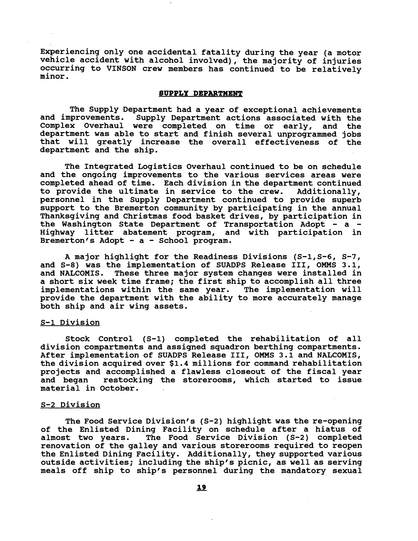**Experiencing only one accidental fatality during the year (a motor vehicle accident with alcohol involved), the majority of injuries occurring to VINSON crew members has continued to be relatively minor.** 

### **SUPPLY DEPARTMENT**

The Supply Department had a year of exceptional achievements<br>and improvements. Supply Department actions associated with the Supply Department actions associated with the **Complex Overhaul were completed on time or early, and the department was able to start and finish several unprogrammed jobs that will greatly increase the overall effectiveness of the department and the ship.** 

**The Integrated Logistics Overhaul continued to be on schedule and the ongoing improvements to the various services areas were completed ahead of time. Each division in the department continued**  to provide the ultimate in service to the crew. **personnel in the Supply Department continued to provide superb support to the Bremerton community by participating in the annual Thanksgiving and Christmas food basket drives, by participation in the Washington State Department of Transportation Adopt** - **a** - **Highway litter abatement program, and with participation in Bremerton's Adopt** - **a** - **School program.** 

**A major highlight for the Readiness Divisions (S-1,s-6, S-7, and S-8) was the implementation of SUADPS Release 111, OMMS 3.1, and NALCOMIS. These three major system changes were installed in a short six week time frame; the first ship to accomplish all three implementations within the same year. The implementation will provide the department with the ability to more accurately manage both ship and air wing assets.** 

# **S-1 Division**

**Stock Control (S-1) completed the rehabilitation of all division compartments and assigned squadron berthing compartments. After implementation of SUADPS Release 111, OMMS 3.1 and NALCOMIS, the division acquired over \$1.4 millions for command rehabilitation projects and accomplished a flawless closeout of the fiscal year and began restocking the storerooms, which started to issue material in October.** 

# **S-2 Division**

**The Food Service Division's (S-2) highlight was the re-opening of the Enlisted Dining Facility on schedule after a hiatus of**  The Food Service Division (S-2) completed **renovation of the galley and various storerooms required to reopen the Enlisted Dining Facility. Additionally, they supported various outside activities; including the ship's picnic, as well as serving meals off ship to ship's personnel during the mandatory sexual**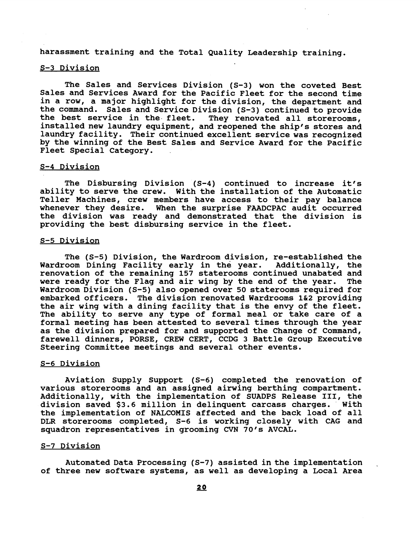**harassment training and the Total Quality Leadership training.** 

# **S-3 Division**

**The Sales and Services Division (S-3) won the coveted Best Sales and Services Award for the Pacific Fleet for the second time in a row, a major highlight for the division, the department and the command. Sales and Service Division (5-3) continued to provide**  They renovated all storerooms, **installed new laundry equipment, and reopened the ship's stores and laundry facility. Their continued excellent service was recognized by the winning of the Best Sales and Service Award for the Pacific Fleet Special Category.** 

## **S-4 Division**

**The Disbursing Division (S-4) continued to increase it's ability to serve the crew. With the installation of the Automatic Teller Machines, crew members have access to their pay balance whenever they desire. When the surprise FAADCPAC audit occurred the division was ready and demonstrated that the division is providing the best disbursing service in the fleet.** 

## **S-5 Division**

**The (S-5) Division, the Wardroom division, re-established the Wardroom Dining Facility early in the year. Additionally, the renovation of the remaining 157 staterooms continued unabated and were ready for the Flag and air wing by the end of the year. The Wardroom Division (S-5) also opened over 50 staterooms required for embarked officers. The division renovated Wardrooms 1&2 providing the air wing with a dining facility that is the envy of the fleet. The ability to serve any type of formal meal or take care of a formal meeting has been attested to several times through the year as the division prepared for and supported the Change of Command, farewell dinners, PORSE, CREW CERT, CCDG 3 Battle Group Executive Steering Committee meetings and several other events.** 

## **S-6 Division**

**Aviation Supply Support (S-6) completed the renovation of various storerooms and an assigned airwing berthing compartment. Additionally, with the implementation of SUADPS Release 111, the division saved \$3.6 million in delinquent carcass charges. With the implementation of NALCOMIS affected and the back load of all DLR storerooms completed, 5-6 is working closely with CAG and squadron representatives in grooming CVN 70's AVCAL.** 

#### **S-7 Division**

**Automated Data Processing (S-7) assisted in the implementation of three new software systems, as well as developing a Local Area**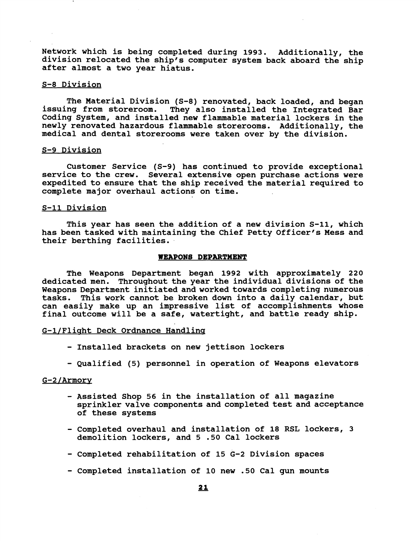Network which is being completed during 1993. Additionally, the **division relocated the ship's computer system back aboard the ship after almost a two year hiatus.** 

## **S-8 Division**

**The Material Division (S-8) renovated, back loaded, and began issuing from storeroom. They also installed the Integrated Bar Coding System, and installed new flammable material lockers in the newly renovated hazardous flammable storerooms. Additionally, the medical and dental storerooms were taken over by the division.** 

## **S-9 Division**

**Customer Service (S-9) has continued to provide exceptional service to the crew. Several extensive open purchase actions were expedited to ensure that the ship received the material required to complete major overhaul actions on time.** 

# **S-11 Division**

**This year has seen the addition of a new division S-11, which has been tasked with maintaining the Chief Petty Officer's Mess and their berthing facilities.** 

## **WEAPONB DEPARTMENT**

The Weapons Department began 1992 with approximately 220 **dedicated men. Throughout the year the individual divisions of the Weapons Department initiated and worked towards completing numerous tasks. This work cannot be broken down into a daily calendar, but can easily make up an impressive list of accomplishments whose final outcome will be a safe, watertight, and battle ready ship.** 

# **G-1IFlisht Deck Ordnance Handling**

- **Installed brackets on new jettison lockers**
- **Qualified (5) personnel in operation of Weapons elevators**

# $G-2/Armory$

- **Assisted Shop 56 in the installation of all magazine sprinkler valve components and completed test and acceptance of these systems**
- **Completed overhaul and installation of 18 RSL lockers, 3 demolition lockers, and 5 .50 Cal lockers**
- **Completed rehabilitation of 15 G-2 Division spaces**
- **Completed installation of 10 new .50 Cal gun mounts**